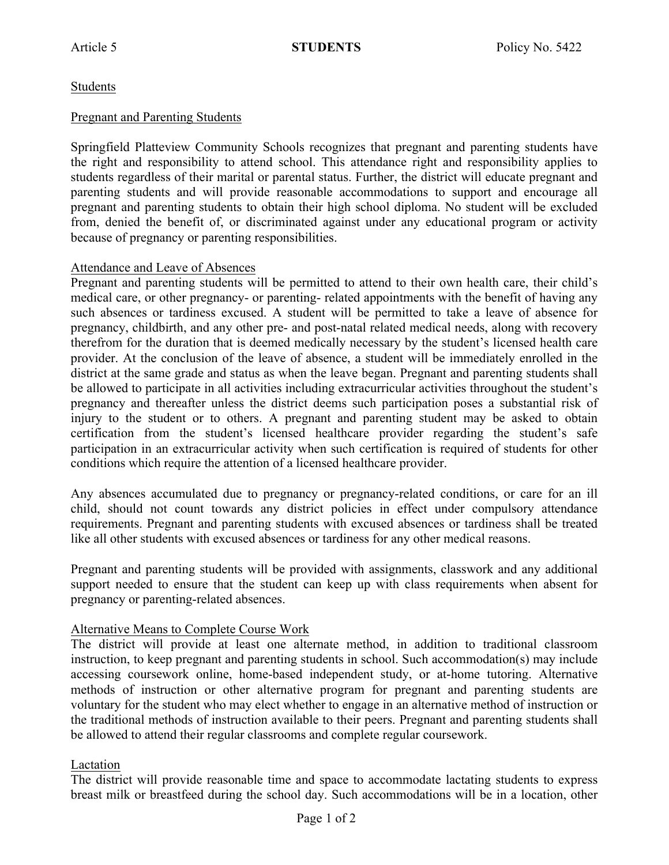# Students

## Pregnant and Parenting Students

Springfield Platteview Community Schools recognizes that pregnant and parenting students have the right and responsibility to attend school. This attendance right and responsibility applies to students regardless of their marital or parental status. Further, the district will educate pregnant and parenting students and will provide reasonable accommodations to support and encourage all pregnant and parenting students to obtain their high school diploma. No student will be excluded from, denied the benefit of, or discriminated against under any educational program or activity because of pregnancy or parenting responsibilities.

### Attendance and Leave of Absences

Pregnant and parenting students will be permitted to attend to their own health care, their child's medical care, or other pregnancy- or parenting- related appointments with the benefit of having any such absences or tardiness excused. A student will be permitted to take a leave of absence for pregnancy, childbirth, and any other pre- and post-natal related medical needs, along with recovery therefrom for the duration that is deemed medically necessary by the student's licensed health care provider. At the conclusion of the leave of absence, a student will be immediately enrolled in the district at the same grade and status as when the leave began. Pregnant and parenting students shall be allowed to participate in all activities including extracurricular activities throughout the student's pregnancy and thereafter unless the district deems such participation poses a substantial risk of injury to the student or to others. A pregnant and parenting student may be asked to obtain certification from the student's licensed healthcare provider regarding the student's safe participation in an extracurricular activity when such certification is required of students for other conditions which require the attention of a licensed healthcare provider.

Any absences accumulated due to pregnancy or pregnancy-related conditions, or care for an ill child, should not count towards any district policies in effect under compulsory attendance requirements. Pregnant and parenting students with excused absences or tardiness shall be treated like all other students with excused absences or tardiness for any other medical reasons.

Pregnant and parenting students will be provided with assignments, classwork and any additional support needed to ensure that the student can keep up with class requirements when absent for pregnancy or parenting-related absences.

### Alternative Means to Complete Course Work

The district will provide at least one alternate method, in addition to traditional classroom instruction, to keep pregnant and parenting students in school. Such accommodation(s) may include accessing coursework online, home-based independent study, or at-home tutoring. Alternative methods of instruction or other alternative program for pregnant and parenting students are voluntary for the student who may elect whether to engage in an alternative method of instruction or the traditional methods of instruction available to their peers. Pregnant and parenting students shall be allowed to attend their regular classrooms and complete regular coursework.

# Lactation

The district will provide reasonable time and space to accommodate lactating students to express breast milk or breastfeed during the school day. Such accommodations will be in a location, other